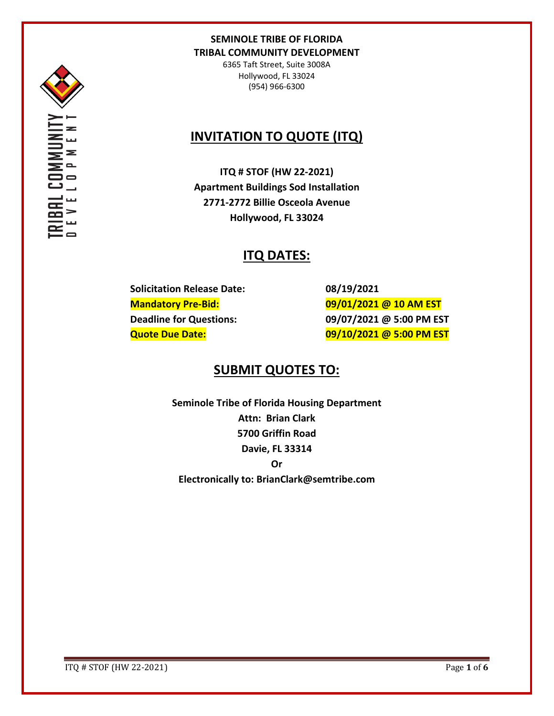

6365 Taft Street, Suite 3008A Hollywood, FL 33024 (954) 966-6300

# **INVITATION TO QUOTE (ITQ)**

**ITQ # STOF (HW 22-2021) Apartment Buildings Sod Installation 2771-2772 Billie Osceola Avenue Hollywood, FL 33024**

# **ITQ DATES:**

**Solicitation Release Date: 08/19/2021**

**Mandatory Pre-Bid: 09/01/2021 @ 10 AM EST Deadline for Questions: 09/07/2021 @ 5:00 PM EST Quote Due Date: 09/10/2021 @ 5:00 PM EST**

# **SUBMIT QUOTES TO:**

**Seminole Tribe of Florida Housing Department Attn: Brian Clark 5700 Griffin Road Davie, FL 33314 Or Electronically to: BrianClark@semtribe.com** 

ITQ # STOF (HW 22-2021) Page **1** of **6**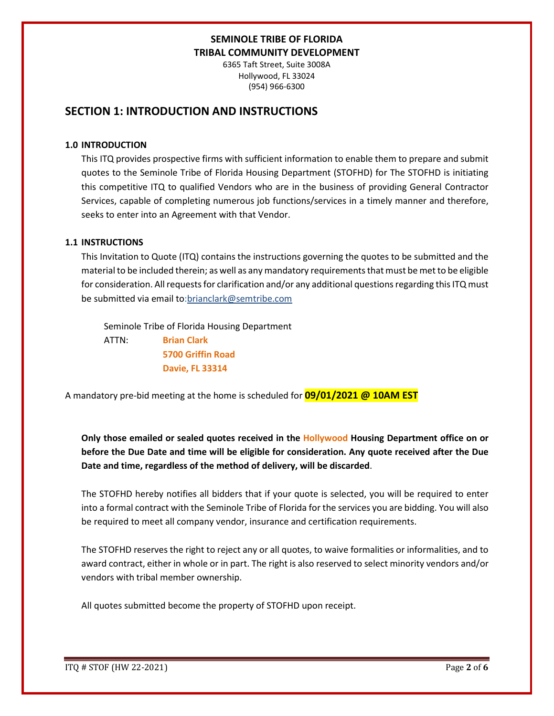6365 Taft Street, Suite 3008A Hollywood, FL 33024 (954) 966-6300

## **SECTION 1: INTRODUCTION AND INSTRUCTIONS**

#### **1.0 INTRODUCTION**

This ITQ provides prospective firms with sufficient information to enable them to prepare and submit quotes to the Seminole Tribe of Florida Housing Department (STOFHD) for The STOFHD is initiating this competitive ITQ to qualified Vendors who are in the business of providing General Contractor Services, capable of completing numerous job functions/services in a timely manner and therefore, seeks to enter into an Agreement with that Vendor.

### **1.1 INSTRUCTIONS**

This Invitation to Quote (ITQ) contains the instructions governing the quotes to be submitted and the material to be included therein; as well as any mandatory requirements that must be met to be eligible for consideration. All requests for clarification and/or any additional questions regarding this ITQ must be submitted via email to:brianclark@semtribe.com

Seminole Tribe of Florida Housing Department

 ATTN: **Brian Clark 5700 Griffin Road Davie, FL 33314**

A mandatory pre-bid meeting at the home is scheduled for **09/01/2021 @ 10AM EST**

**Only those emailed or sealed quotes received in the Hollywood Housing Department office on or before the Due Date and time will be eligible for consideration. Any quote received after the Due Date and time, regardless of the method of delivery, will be discarded**.

The STOFHD hereby notifies all bidders that if your quote is selected, you will be required to enter into a formal contract with the Seminole Tribe of Florida for the services you are bidding. You will also be required to meet all company vendor, insurance and certification requirements.

The STOFHD reserves the right to reject any or all quotes, to waive formalities or informalities, and to award contract, either in whole or in part. The right is also reserved to select minority vendors and/or vendors with tribal member ownership.

All quotes submitted become the property of STOFHD upon receipt.

ITQ # STOF (HW 22-2021) Page **2** of **6**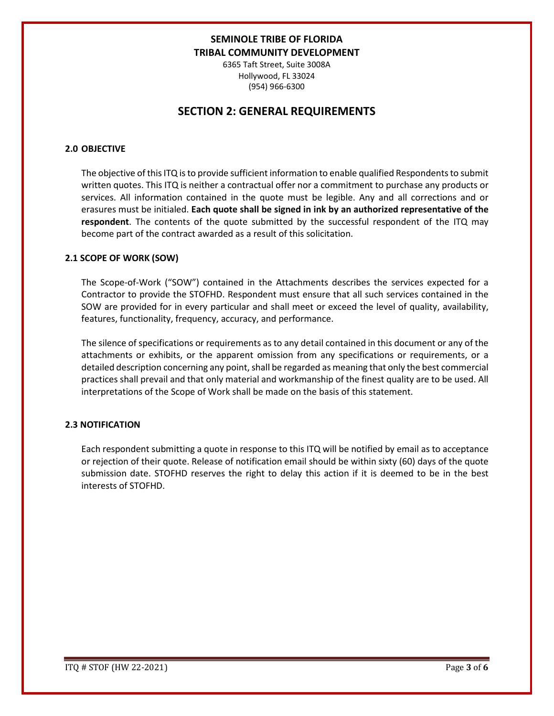6365 Taft Street, Suite 3008A Hollywood, FL 33024 (954) 966-6300

## **SECTION 2: GENERAL REQUIREMENTS**

### **2.0 OBJECTIVE**

The objective of this ITQ is to provide sufficient information to enable qualified Respondents to submit written quotes. This ITQ is neither a contractual offer nor a commitment to purchase any products or services. All information contained in the quote must be legible. Any and all corrections and or erasures must be initialed. **Each quote shall be signed in ink by an authorized representative of the respondent**. The contents of the quote submitted by the successful respondent of the ITQ may become part of the contract awarded as a result of this solicitation.

#### **2.1 SCOPE OF WORK (SOW)**

The Scope-of-Work ("SOW") contained in the Attachments describes the services expected for a Contractor to provide the STOFHD. Respondent must ensure that all such services contained in the SOW are provided for in every particular and shall meet or exceed the level of quality, availability, features, functionality, frequency, accuracy, and performance.

The silence of specifications or requirements as to any detail contained in this document or any of the attachments or exhibits, or the apparent omission from any specifications or requirements, or a detailed description concerning any point, shall be regarded as meaning that only the best commercial practices shall prevail and that only material and workmanship of the finest quality are to be used. All interpretations of the Scope of Work shall be made on the basis of this statement.

### **2.3 NOTIFICATION**

Each respondent submitting a quote in response to this ITQ will be notified by email as to acceptance or rejection of their quote. Release of notification email should be within sixty (60) days of the quote submission date. STOFHD reserves the right to delay this action if it is deemed to be in the best interests of STOFHD.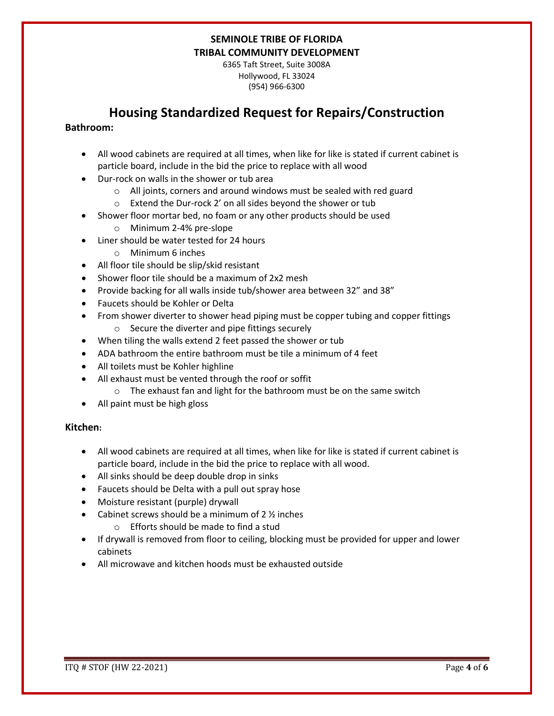6365 Taft Street, Suite 3008A Hollywood, FL 33024 (954) 966-6300

# **Housing Standardized Request for Repairs/Construction**

### **Bathroom:**

- All wood cabinets are required at all times, when like for like is stated if current cabinet is particle board, include in the bid the price to replace with all wood
- Dur-rock on walls in the shower or tub area
	- o All joints, corners and around windows must be sealed with red guard
	- o Extend the Dur-rock 2' on all sides beyond the shower or tub
- Shower floor mortar bed, no foam or any other products should be used
	- o Minimum 2-4% pre-slope
- Liner should be water tested for 24 hours
	- o Minimum 6 inches
- All floor tile should be slip/skid resistant
- Shower floor tile should be a maximum of 2x2 mesh
- Provide backing for all walls inside tub/shower area between 32" and 38"
- Faucets should be Kohler or Delta
- From shower diverter to shower head piping must be copper tubing and copper fittings o Secure the diverter and pipe fittings securely
- When tiling the walls extend 2 feet passed the shower or tub
- ADA bathroom the entire bathroom must be tile a minimum of 4 feet
- All toilets must be Kohler highline
- All exhaust must be vented through the roof or soffit
	- o The exhaust fan and light for the bathroom must be on the same switch
- All paint must be high gloss

### **Kitchen:**

- All wood cabinets are required at all times, when like for like is stated if current cabinet is particle board, include in the bid the price to replace with all wood.
- All sinks should be deep double drop in sinks
- Faucets should be Delta with a pull out spray hose
- Moisture resistant (purple) drywall
- Cabinet screws should be a minimum of  $2\frac{1}{2}$  inches
	- o Efforts should be made to find a stud
- If drywall is removed from floor to ceiling, blocking must be provided for upper and lower cabinets
- All microwave and kitchen hoods must be exhausted outside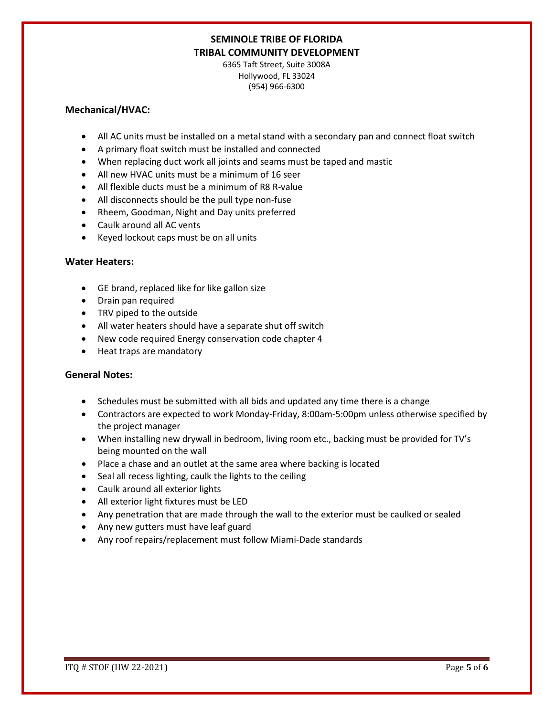6365 Taft Street, Suite 3008A Hollywood, FL 33024 (954) 966-6300

#### **Mechanical/HVAC:**

- All AC units must be installed on a metal stand with a secondary pan and connect float switch
- A primary float switch must be installed and connected
- When replacing duct work all joints and seams must be taped and mastic
- All new HVAC units must be a minimum of 16 seer
- All flexible ducts must be a minimum of R8 R-value
- All disconnects should be the pull type non-fuse
- Rheem, Goodman, Night and Day units preferred
- Caulk around all AC vents
- Keyed lockout caps must be on all units

### **Water Heaters:**

- GE brand, replaced like for like gallon size
- Drain pan required
- TRV piped to the outside
- All water heaters should have a separate shut off switch
- New code required Energy conservation code chapter 4
- Heat traps are mandatory

### **General Notes:**

- Schedules must be submitted with all bids and updated any time there is a change
- Contractors are expected to work Monday-Friday, 8:00am-5:00pm unless otherwise specified by the project manager
- When installing new drywall in bedroom, living room etc., backing must be provided for TV's being mounted on the wall
- Place a chase and an outlet at the same area where backing is located
- Seal all recess lighting, caulk the lights to the ceiling
- Caulk around all exterior lights
- All exterior light fixtures must be LED
- Any penetration that are made through the wall to the exterior must be caulked or sealed
- Any new gutters must have leaf guard
- Any roof repairs/replacement must follow Miami-Dade standards